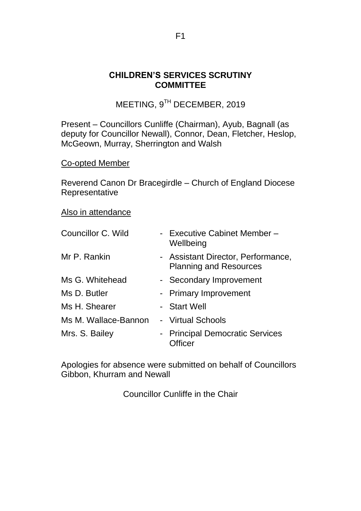#### **CHILDREN'S SERVICES SCRUTINY COMMITTEE**

MEETING, 9TH DECEMBER, 2019

Present – Councillors Cunliffe (Chairman), Ayub, Bagnall (as deputy for Councillor Newall), Connor, Dean, Fletcher, Heslop, McGeown, Murray, Sherrington and Walsh

#### Co-opted Member

Reverend Canon Dr Bracegirdle – Church of England Diocese Representative

#### Also in attendance

| Councillor C. Wild   | - Executive Cabinet Member -<br>Wellbeing                           |
|----------------------|---------------------------------------------------------------------|
| Mr P. Rankin         | - Assistant Director, Performance,<br><b>Planning and Resources</b> |
| Ms G. Whitehead      | - Secondary Improvement                                             |
| Ms D. Butler         | - Primary Improvement                                               |
| Ms H. Shearer        | - Start Well                                                        |
| Ms M. Wallace-Bannon | - Virtual Schools                                                   |
| Mrs. S. Bailey       | - Principal Democratic Services<br><b>Micer</b>                     |

Apologies for absence were submitted on behalf of Councillors Gibbon, Khurram and Newall

Councillor Cunliffe in the Chair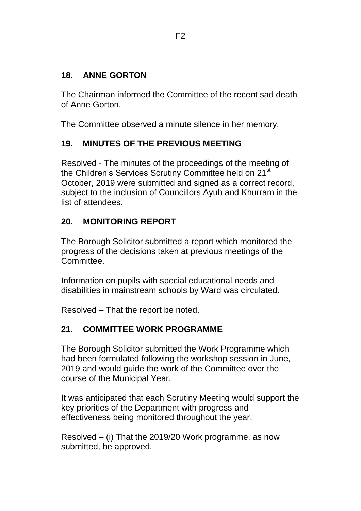## **18. ANNE GORTON**

The Chairman informed the Committee of the recent sad death of Anne Gorton.

The Committee observed a minute silence in her memory.

#### **19. MINUTES OF THE PREVIOUS MEETING**

Resolved - The minutes of the proceedings of the meeting of the Children's Services Scrutiny Committee held on 21<sup>st</sup> October, 2019 were submitted and signed as a correct record, subject to the inclusion of Councillors Ayub and Khurram in the list of attendees.

#### **20. MONITORING REPORT**

The Borough Solicitor submitted a report which monitored the progress of the decisions taken at previous meetings of the Committee.

Information on pupils with special educational needs and disabilities in mainstream schools by Ward was circulated.

Resolved – That the report be noted.

## **21. COMMITTEE WORK PROGRAMME**

The Borough Solicitor submitted the Work Programme which had been formulated following the workshop session in June, 2019 and would guide the work of the Committee over the course of the Municipal Year.

It was anticipated that each Scrutiny Meeting would support the key priorities of the Department with progress and effectiveness being monitored throughout the year.

Resolved – (i) That the 2019/20 Work programme, as now submitted, be approved.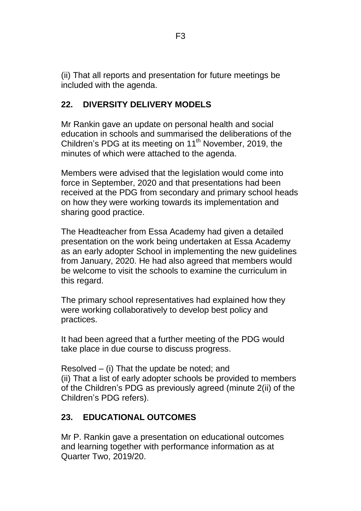(ii) That all reports and presentation for future meetings be included with the agenda.

## **22. DIVERSITY DELIVERY MODELS**

Mr Rankin gave an update on personal health and social education in schools and summarised the deliberations of the Children's PDG at its meeting on 11<sup>th</sup> November, 2019, the minutes of which were attached to the agenda.

Members were advised that the legislation would come into force in September, 2020 and that presentations had been received at the PDG from secondary and primary school heads on how they were working towards its implementation and sharing good practice.

The Headteacher from Essa Academy had given a detailed presentation on the work being undertaken at Essa Academy as an early adopter School in implementing the new guidelines from January, 2020. He had also agreed that members would be welcome to visit the schools to examine the curriculum in this regard.

The primary school representatives had explained how they were working collaboratively to develop best policy and practices.

It had been agreed that a further meeting of the PDG would take place in due course to discuss progress.

Resolved – (i) That the update be noted; and (ii) That a list of early adopter schools be provided to members of the Children's PDG as previously agreed (minute 2(ii) of the Children's PDG refers).

## **23. EDUCATIONAL OUTCOMES**

Mr P. Rankin gave a presentation on educational outcomes and learning together with performance information as at Quarter Two, 2019/20.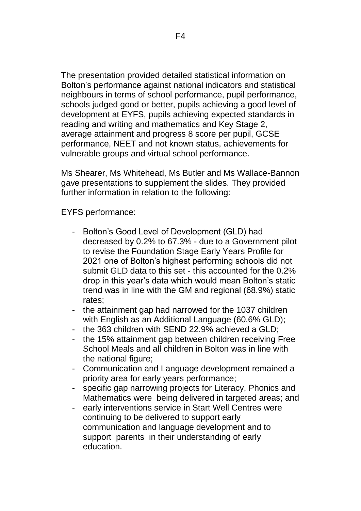The presentation provided detailed statistical information on Bolton's performance against national indicators and statistical neighbours in terms of school performance, pupil performance, schools judged good or better, pupils achieving a good level of development at EYFS, pupils achieving expected standards in reading and writing and mathematics and Key Stage 2, average attainment and progress 8 score per pupil, GCSE performance, NEET and not known status, achievements for vulnerable groups and virtual school performance.

Ms Shearer, Ms Whitehead, Ms Butler and Ms Wallace-Bannon gave presentations to supplement the slides. They provided further information in relation to the following:

EYFS performance:

- Bolton's Good Level of Development (GLD) had decreased by 0.2% to 67.3% - due to a Government pilot to revise the Foundation Stage Early Years Profile for 2021 one of Bolton's highest performing schools did not submit GLD data to this set - this accounted for the 0.2% drop in this year's data which would mean Bolton's static trend was in line with the GM and regional (68.9%) static rates;
- the attainment gap had narrowed for the 1037 children with English as an Additional Language (60.6% GLD);
- the 363 children with SEND 22.9% achieved a GLD;
- the 15% attainment gap between children receiving Free School Meals and all children in Bolton was in line with the national figure;
- Communication and Language development remained a priority area for early years performance;
- specific gap narrowing projects for Literacy, Phonics and Mathematics were being delivered in targeted areas; and
- early interventions service in Start Well Centres were continuing to be delivered to support early communication and language development and to support parents in their understanding of early education.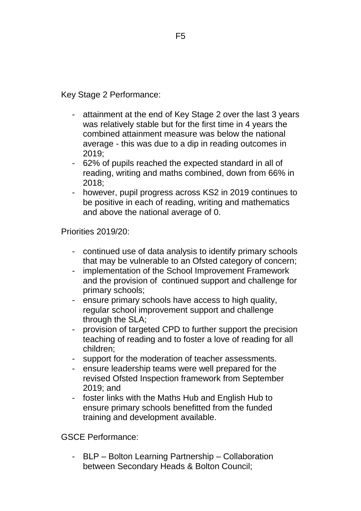Key Stage 2 Performance:

- attainment at the end of Key Stage 2 over the last 3 years was relatively stable but for the first time in 4 years the combined attainment measure was below the national average - this was due to a dip in reading outcomes in 2019;
- 62% of pupils reached the expected standard in all of reading, writing and maths combined, down from 66% in 2018;
- however, pupil progress across KS2 in 2019 continues to be positive in each of reading, writing and mathematics and above the national average of 0.

Priorities 2019/20:

- continued use of data analysis to identify primary schools that may be vulnerable to an Ofsted category of concern;
- implementation of the School Improvement Framework and the provision of continued support and challenge for primary schools;
- ensure primary schools have access to high quality, regular school improvement support and challenge through the SLA;
- provision of targeted CPD to further support the precision teaching of reading and to foster a love of reading for all children;
- support for the moderation of teacher assessments.
- ensure leadership teams were well prepared for the revised Ofsted Inspection framework from September 2019; and
- foster links with the Maths Hub and English Hub to ensure primary schools benefitted from the funded training and development available.

GSCE Performance:

- BLP – Bolton Learning Partnership – Collaboration between Secondary Heads & Bolton Council;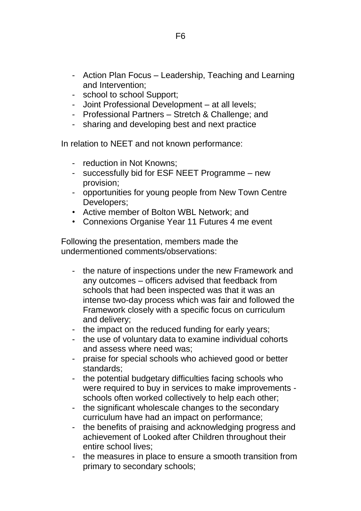- Action Plan Focus Leadership, Teaching and Learning and Intervention;
- school to school Support;
- Joint Professional Development at all levels;
- Professional Partners Stretch & Challenge; and
- sharing and developing best and next practice

In relation to NEET and not known performance:

- reduction in Not Knowns;
- successfully bid for ESF NEET Programme new provision;
- opportunities for young people from New Town Centre Developers;
- Active member of Bolton WBL Network; and
- Connexions Organise Year 11 Futures 4 me event

Following the presentation, members made the undermentioned comments/observations:

- the nature of inspections under the new Framework and any outcomes – officers advised that feedback from schools that had been inspected was that it was an intense two-day process which was fair and followed the Framework closely with a specific focus on curriculum and delivery;
- the impact on the reduced funding for early years;
- the use of voluntary data to examine individual cohorts and assess where need was;
- praise for special schools who achieved good or better standards;
- the potential budgetary difficulties facing schools who were required to buy in services to make improvements schools often worked collectively to help each other;
- the significant wholescale changes to the secondary curriculum have had an impact on performance;
- the benefits of praising and acknowledging progress and achievement of Looked after Children throughout their entire school lives;
- the measures in place to ensure a smooth transition from primary to secondary schools;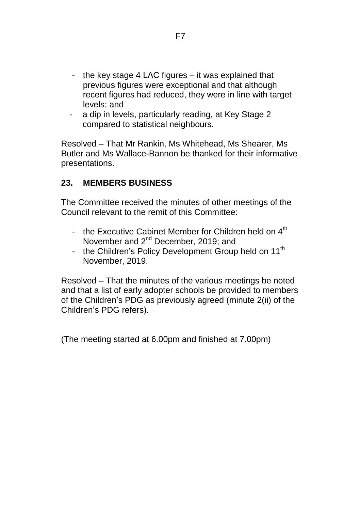- the key stage 4 LAC figures it was explained that previous figures were exceptional and that although recent figures had reduced, they were in line with target levels; and
- a dip in levels, particularly reading, at Key Stage 2 compared to statistical neighbours.

Resolved – That Mr Rankin, Ms Whitehead, Ms Shearer, Ms Butler and Ms Wallace-Bannon be thanked for their informative presentations.

#### **23. MEMBERS BUSINESS**

The Committee received the minutes of other meetings of the Council relevant to the remit of this Committee:

- the Executive Cabinet Member for Children held on 4<sup>th</sup> November and 2<sup>nd</sup> December, 2019; and
- the Children's Policy Development Group held on 11<sup>th</sup> November, 2019.

Resolved – That the minutes of the various meetings be noted and that a list of early adopter schools be provided to members of the Children's PDG as previously agreed (minute 2(ii) of the Children's PDG refers).

(The meeting started at 6.00pm and finished at 7.00pm)